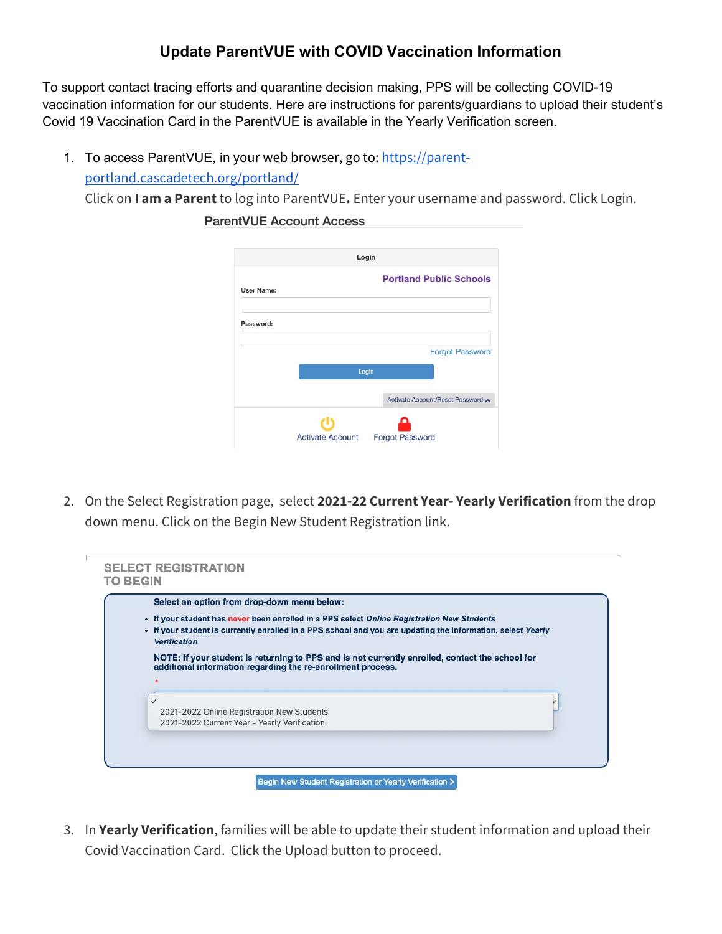## **Update ParentVUE with COVID Vaccination Information**

To support contact tracing efforts and quarantine decision making, PPS will be collecting COVID-19 vaccination information for our students. Here are instructions for parents/guardians to upload their student's Covid 19 Vaccination Card in the ParentVUE is available in the Yearly Verification screen.

1. To access ParentVUE, in your web browser, go to: [https://parent](https://parent-portland.cascadetech.org/portland/)[portland.cascadetech.org/portland/](https://parent-portland.cascadetech.org/portland/) Click on **I am a Parent** to log into ParentVUE**.** Enter your username and password. Click Login.

|                   | Login                           |
|-------------------|---------------------------------|
| <b>User Name:</b> | <b>Portland Public Schools</b>  |
| Password:         |                                 |
|                   | <b>Forgot Password</b>          |
|                   | Login                           |
|                   | Activate Account/Reset Password |
|                   |                                 |
|                   |                                 |

**ParentVUE Account Access** 

2. On the Select Registration page, select **2021-22 Current Year- Yearly Verification** from the drop down menu. Click on the Begin New Student Registration link.

|              | Select an option from drop-down menu below:                                                                                        |
|--------------|------------------------------------------------------------------------------------------------------------------------------------|
|              | . If your student has never been enrolled in a PPS select Online Registration New Students                                         |
|              | . If your student is currently enrolled in a PPS school and you are updating the information, select Yearly<br><b>Verification</b> |
| $\checkmark$ | 2021-2022 Online Registration New Students                                                                                         |
|              | 2021-2022 Current Year - Yearly Verification                                                                                       |

3. In **Yearly Verification**, families will be able to update their student information and upload their Covid Vaccination Card. Click the Upload button to proceed.